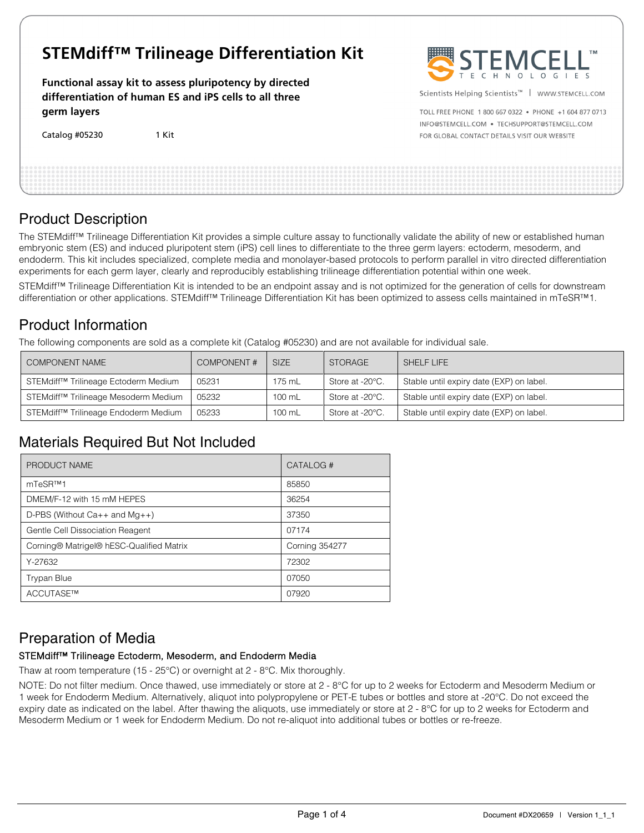# **STEMdiff™ Trilineage Differentiation Kit**

**Functional assay kit to assess pluripotency by directed differentiation of human ES and iPS cells to all three germ layers**

Catalog #05230 1 Kit



Scientists Helping Scientists™ | WWW.STEMCELL.COM

TOLL FREE PHONE 1 800 667 0322 . PHONE +1 604 877 0713 INFO@STEMCELL.COM . TECHSUPPORT@STEMCELL.COM FOR GLOBAL CONTACT DETAILS VISIT OUR WEBSITE

### Product Description

The STEMdiff™ Trilineage Differentiation Kit provides a simple culture assay to functionally validate the ability of new or established human embryonic stem (ES) and induced pluripotent stem (iPS) cell lines to differentiate to the three germ layers: ectoderm, mesoderm, and endoderm. This kit includes specialized, complete media and monolayer-based protocols to perform parallel in vitro directed differentiation experiments for each germ layer, clearly and reproducibly establishing trilineage differentiation potential within one week.

STEMdiff<sup>™</sup> Trilineage Differentiation Kit is intended to be an endpoint assay and is not optimized for the generation of cells for downstream differentiation or other applications. STEMdiff™ Trilineage Differentiation Kit has been optimized to assess cells maintained in mTeSR™1.

### Product Information

The following components are sold as a complete kit (Catalog #05230) and are not available for individual sale.

| COMPONENT NAME                                   | <b>COMPONENT#</b> | <b>SIZE</b> | <b>STORAGE</b>  | SHELF LIFE                               |
|--------------------------------------------------|-------------------|-------------|-----------------|------------------------------------------|
| STEMdiff™ Trilineage Ectoderm Medium             | 05231             | 175 mL      | Store at -20°C. | Stable until expiry date (EXP) on label. |
| STEMdiff <sup>™</sup> Trilineage Mesoderm Medium | 05232             | 100 mL      | Store at -20°C. | Stable until expiry date (EXP) on label. |
| STEMdiff <sup>™</sup> Trilineage Endoderm Medium | 05233             | 100 mL      | Store at -20°C. | Stable until expiry date (EXP) on label. |

## Materials Required But Not Included

| PRODUCT NAME                             | CATALOG#              |
|------------------------------------------|-----------------------|
| mTeSR™1                                  | 85850                 |
| DMEM/F-12 with 15 mM HEPES               | 36254                 |
| D-PBS (Without $Ca++$ and $Mq++$ )       | 37350                 |
| Gentle Cell Dissociation Reagent         | 07174                 |
| Corning® Matrigel® hESC-Qualified Matrix | <b>Corning 354277</b> |
| Y-27632                                  | 72302                 |
| <b>Trypan Blue</b>                       | 07050                 |
| ACCUTASE™                                | 07920                 |

## Preparation of Media

### STEMdiff™ Trilineage Ectoderm, Mesoderm, and Endoderm Media

Thaw at room temperature (15 - 25°C) or overnight at 2 - 8°C. Mix thoroughly.

NOTE: Do not filter medium. Once thawed, use immediately or store at 2 - 8°C for up to 2 weeks for Ectoderm and Mesoderm Medium or 1 week for Endoderm Medium. Alternatively, aliquot into polypropylene or PET-E tubes or bottles and store at -20°C. Do not exceed the expiry date as indicated on the label. After thawing the aliquots, use immediately or store at 2 - 8°C for up to 2 weeks for Ectoderm and Mesoderm Medium or 1 week for Endoderm Medium. Do not re-aliquot into additional tubes or bottles or re-freeze.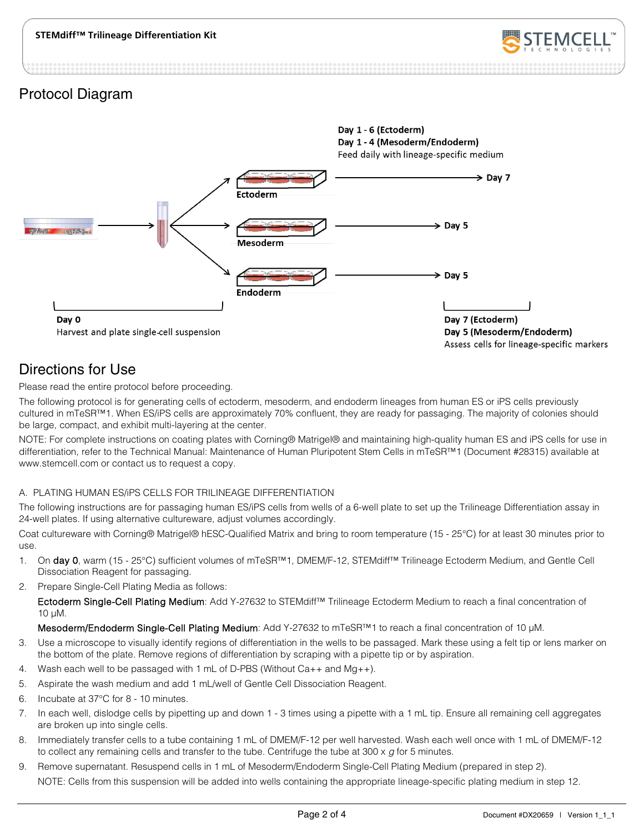

### Protocol Diagram



## Directions for Use

Please read the entire protocol before proceeding.

The following protocol is for generating cells of ectoderm, mesoderm, and endoderm lineages from human ES or iPS cells previously cultured in mTeSR™1. When ES/iPS cells are approximately 70% confluent, they are ready for passaging. The majority of colonies should be large, compact, and exhibit multi-layering at the center.

NOTE: For complete instructions on coating plates with Corning® Matrigel® and maintaining high-quality human ES and iPS cells for use in differentiation, refer to the Technical Manual: Maintenance of Human Pluripotent Stem Cells in mTeSR™1 (Document #28315) available at www.stemcell.com or contact us to request a copy.

### A. PLATING HUMAN ES/iPS CELLS FOR TRILINEAGE DIFFERENTIATION

The following instructions are for passaging human ES/iPS cells from wells of a 6-well plate to set up the Trilineage Differentiation assay in 24-well plates. If using alternative cultureware, adjust volumes accordingly.

Coat cultureware with Corning® Matrigel® hESC-Qualified Matrix and bring to room temperature (15 - 25°C) for at least 30 minutes prior to use.

- 1. On day 0, warm (15 25°C) sufficient volumes of mTeSR™1, DMEM/F-12, STEMdiff™ Trilineage Ectoderm Medium, and Gentle Cell Dissociation Reagent for passaging.
- <span id="page-1-0"></span>2. Prepare Single-Cell Plating Media as follows:

Ectoderm Single-Cell Plating Medium: Add Y-27632 to STEMdiff™ Trilineage Ectoderm Medium to reach a final concentration of 10 µM.

Mesoderm/Endoderm Single-Cell Plating Medium: Add Y-27632 to mTeSR™1 to reach a final concentration of 10 µM.

- 3. Use a microscope to visually identify regions of differentiation in the wells to be passaged. Mark these using a felt tip or lens marker on the bottom of the plate. Remove regions of differentiation by scraping with a pipette tip or by aspiration.
- 4. Wash each well to be passaged with 1 mL of D-PBS (Without  $Ca_{+}$ + and  $Mq_{+}$ ).
- 5. Aspirate the wash medium and add 1 mL/well of Gentle Cell Dissociation Reagent.
- 6. Incubate at 37°C for 8 10 minutes.
- 7. In each well, dislodge cells by pipetting up and down 1 3 times using a pipette with a 1 mL tip. Ensure all remaining cell aggregates are broken up into single cells.
- 8. Immediately transfer cells to a tube containing 1 mL of DMEM/F-12 per well harvested. Wash each well once with 1 mL of DMEM/F-12 to collect any remaining cells and transfer to the tube. Centrifuge the tube at 300 x *g* for 5 minutes.
- 9. Remove supernatant. Resuspend cells in 1 mL of Mesoderm/Endoderm Single-Cell Plating Medium (prepared in ste[p 2\)](#page-1-0). NOTE: Cells from this suspension will be added into wells containing the appropriate lineage-specific plating medium in ste[p 12.](#page-2-0)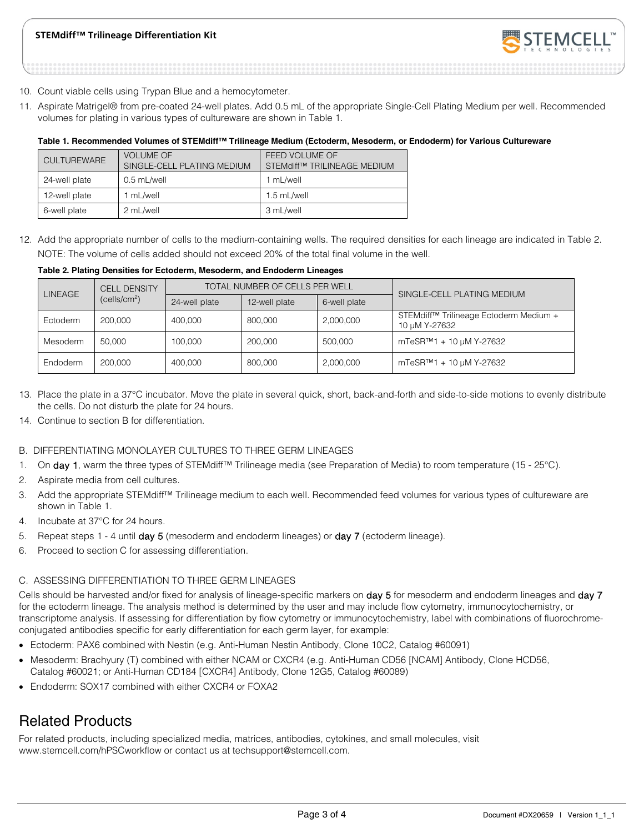### **STEMdiff™ Trilineage Differentiation Kit**



- 10. Count viable cells using Trypan Blue and a hemocytometer.
- 11. Aspirate Matrigel® from pre-coated 24-well plates. Add 0.5 mL of the appropriate Single-Cell Plating Medium per well. Recommended volumes for plating in various types of cultureware are shown in Table 1.

#### **Table 1. Recommended Volumes of STEMdiff™ Trilineage Medium (Ectoderm, Mesoderm, or Endoderm) for Various Cultureware**

| <b>CULTUREWARE</b> | <b>VOLUME OF</b><br>SINGLE-CELL PLATING MEDIUM | FEED VOLUME OF<br>STEMdiff™ TRILINEAGE MEDIUM |
|--------------------|------------------------------------------------|-----------------------------------------------|
| 24-well plate      | 0.5 mL/well                                    | 1 mL/well                                     |
| 12-well plate      | 1 mL/well                                      | 1.5 mL/well                                   |
| 6-well plate       | 2 mL/well                                      | 3 mL/well                                     |

<span id="page-2-0"></span>12. Add the appropriate number of cells to the medium-containing wells. The required densities for each lineage are indicated in Table 2. NOTE: The volume of cells added should not exceed 20% of the total final volume in the well.

#### **Table 2. Plating Densities for Ectoderm, Mesoderm, and Endoderm Lineages**

| <b>CELL DENSITY</b><br><b>LINEAGE</b><br>(cells/cm <sup>2</sup> ) |               | TOTAL NUMBER OF CELLS PER WELL |              |           | SINGLE-CELL PLATING MEDIUM                                          |
|-------------------------------------------------------------------|---------------|--------------------------------|--------------|-----------|---------------------------------------------------------------------|
|                                                                   | 24-well plate | 12-well plate                  | 6-well plate |           |                                                                     |
| Ectoderm                                                          | 200,000       | 400.000                        | 800,000      | 2,000,000 | STEMdiff <sup>™</sup> Trilineage Ectoderm Medium +<br>10 µM Y-27632 |
| Mesoderm                                                          | 50.000        | 100,000                        | 200,000      | 500,000   | $mTe$ SR <sup>™1</sup> + 10 µM Y-27632                              |
| Endoderm                                                          | 200,000       | 400.000                        | 800,000      | 2,000,000 | $mTe$ SR <sup>™1</sup> + 10 µM Y-27632                              |

- 13. Place the plate in a 37°C incubator. Move the plate in several quick, short, back-and-forth and side-to-side motions to evenly distribute the cells. Do not disturb the plate for 24 hours.
- 14. Continue to section B for differentiation.

### B. DIFFERENTIATING MONOLAYER CULTURES TO THREE GERM LINEAGES

- <span id="page-2-1"></span>1. On day 1, warm the three types of STEMdiff™ Trilineage media (see Preparation of Media) to room temperature (15 - 25°C).
- 2. Aspirate media from cell cultures.
- 3. Add the appropriate STEMdiff™ Trilineage medium to each well. Recommended feed volumes for various types of cultureware are shown in Table 1.
- <span id="page-2-2"></span>4. Incubate at 37°C for 24 hours.
- 5. Repeat steps [1](#page-2-1) [4](#page-2-2) until day 5 (mesoderm and endoderm lineages) or day 7 (ectoderm lineage).
- 6. Proceed to section C for assessing differentiation.

#### C. ASSESSING DIFFERENTIATION TO THREE GERM LINEAGES

Cells should be harvested and/or fixed for analysis of lineage-specific markers on day 5 for mesoderm and endoderm lineages and day 7 for the ectoderm lineage. The analysis method is determined by the user and may include flow cytometry, immunocytochemistry, or transcriptome analysis. If assessing for differentiation by flow cytometry or immunocytochemistry, label with combinations of fluorochromeconjugated antibodies specific for early differentiation for each germ layer, for example:

- Ectoderm: PAX6 combined with Nestin (e.g. Anti-Human Nestin Antibody, Clone 10C2, Catalog #60091)
- Mesoderm: Brachyury (T) combined with either NCAM or CXCR4 (e.g. Anti-Human CD56 [NCAM] Antibody, Clone HCD56, Catalog #60021; or Anti-Human CD184 [CXCR4] Antibody, Clone 12G5, Catalog #60089)
- Endoderm: SOX17 combined with either CXCR4 or FOXA2

### Related Products

For related products, including specialized media, matrices, antibodies, cytokines, and small molecules, visit www.stemcell.com/hPSCworkflow or contact us at techsupport@stemcell.com.